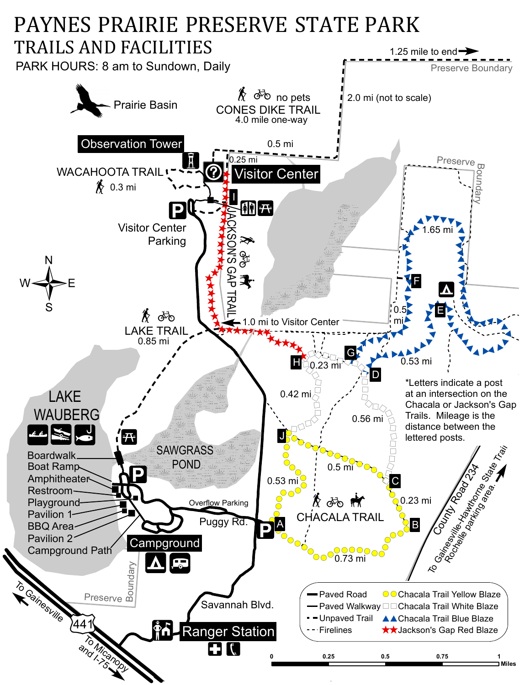